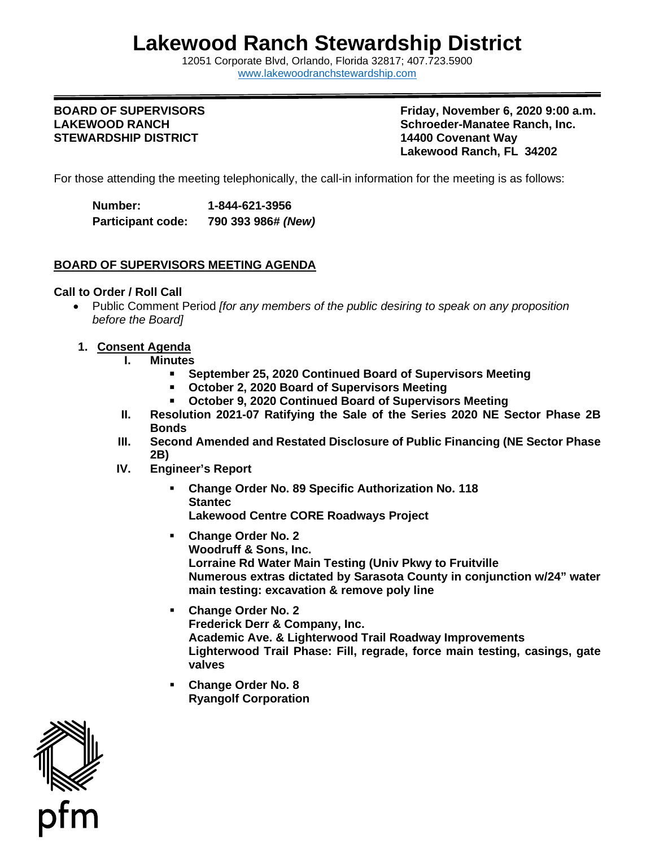# **Lakewood Ranch Stewardship District**

12051 Corporate Blvd, Orlando, Florida 32817; 407.723.5900 [www.lakewoodranchstewardship.com](http://www.lakewoodranchstewardship.com/) 

### **BOARD OF SUPERVISORS LAKEWOOD RANCH STEWARDSHIP DISTRICT**

**Friday, November 6, 2020 9:00 a.m. Schroeder-Manatee Ranch, Inc. 14400 Covenant Way Lakewood Ranch, FL 34202** 

For those attending the meeting telephonically, the call-in information for the meeting is as follows:

Number: **Participant code: Number: 1-844-621-3956 Participant code: 790 393 986#** *(New)* 

# **BOARD OF SUPERVISORS MEETING AGENDA**

## **Call to Order / Roll Call**

- Public Comment Period *[for any members of the public desiring to speak on any proposition before the Board]*
- **1. Consent Agenda**
	- **I. Minutes** 
		- **September 25, 2020 Continued Board of Supervisors Meeting**
		- **October 2, 2020 Board of Supervisors Meeting**
		- **October 9, 2020 Continued Board of Supervisors Meeting**
	- **II. Resolution 2021-07 Ratifying the Sale of the Series 2020 NE Sector Phase 2B Bonds**
	- 2B) **III. Second Amended and Restated Disclosure of Public Financing (NE Sector Phase**
	- **2B) IV. Engineer's Report** 
		- **Change Order No. 89 Specific Authorization No. 118 Stantec Lakewood Centre CORE Roadways Project**
		- **Numerous extras dictated by Sarasota County in conjunction w/24" water Change Order No. 2 Woodruff & Sons, Inc. Lorraine Rd Water Main Testing (Univ Pkwy to Fruitville main testing: excavation & remove poly line**
		- **Academic Ave. & Lighterwood Trail Roadway Improvements Lighterwood Trail Phase: Fill, regrade, force main testing, casings, gate Change Order No. 2 Frederick Derr & Company, Inc. valves**
		- **Change Order No. 8 Ryangolf Corporation**

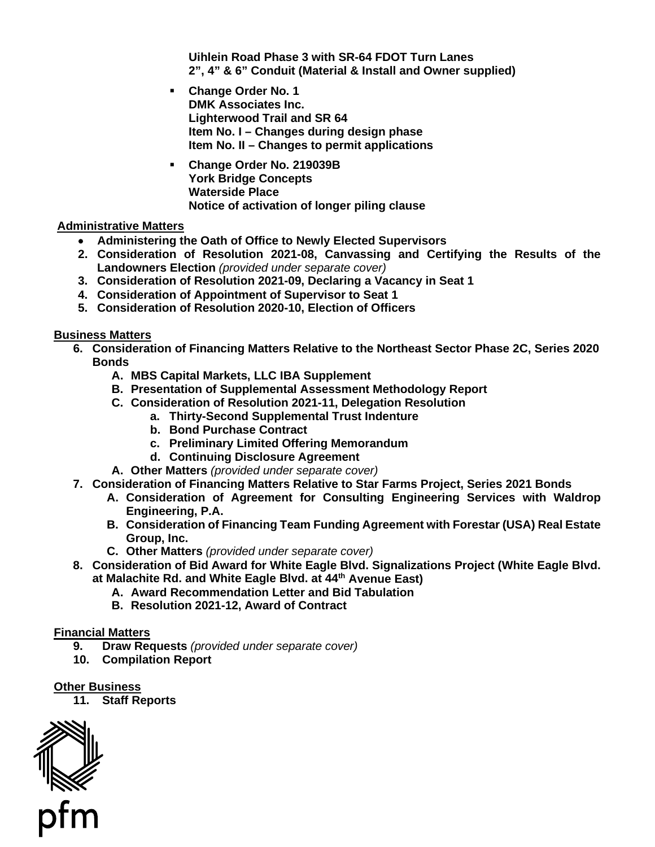**Uihlein Road Phase 3 with SR-64 FDOT Turn Lanes 2", 4" & 6" Conduit (Material & Install and Owner supplied)** 

- **Lighterwood Trail and SR 64 Change Order No. 1 DMK Associates Inc. Item No. I – Changes during design phase Item No. II – Changes to permit applications**
- **Change Order No. 219039B York Bridge Concepts Waterside Place Notice of activation of longer piling clause**

# **Administrative Matters**

- **Administering the Oath of Office to Newly Elected Supervisors**
- **2. Consideration of Resolution 2021-08, Canvassing and Certifying the Results of the Landowners Election** *(provided under separate cover)*
- **3. Consideration of Resolution 2021-09, Declaring a Vacancy in Seat 1**
- **4. Consideration of Appointment of Supervisor to Seat 1**
- **5. Consideration of Resolution 2020-10, Election of Officers**

**Business Matters** 

- **6. Consideration of Financing Matters Relative to the Northeast Sector Phase 2C, Series 2020 Bonds** 
	- **A. MBS Capital Markets, LLC IBA Supplement**
	- **B. Presentation of Supplemental Assessment Methodology Report**
	- **C. Consideration of Resolution 2021-11, Delegation Resolution** 
		- **a. Thirty-Second Supplemental Trust Indenture** 
			- **b. Bond Purchase Contract**
			- **c. Preliminary Limited Offering Memorandum**
		- **d. Continuing Disclosure Agreement**
	- **A. Other Matters** *(provided under separate cover)*
- **7. Consideration of Financing Matters Relative to Star Farms Project, Series 2021 Bonds** 
	- **A. Consideration of Agreement for Consulting Engineering Services with Waldrop Engineering, P.A.**
	- **B. Consideration of Financing Team Funding Agreement with Forestar (USA) Real Estate Group, Inc.**
	- **C. Other Matters** *(provided under separate cover)*
- **8. Consideration of Bid Award for White Eagle Blvd. Signalizations Project (White Eagle Blvd. at Malachite Rd. and White Eagle Blvd. at 44th Avenue East)** 
	- **A. Award Recommendation Letter and Bid Tabulation**
	- **B. Resolution 2021-12, Award of Contract**

# **Financial Matters**

- **9. Draw Requests** *(provided under separate cover)*
- **10. Compilation Report**

### **Other Business**

 **11. Staff Reports**